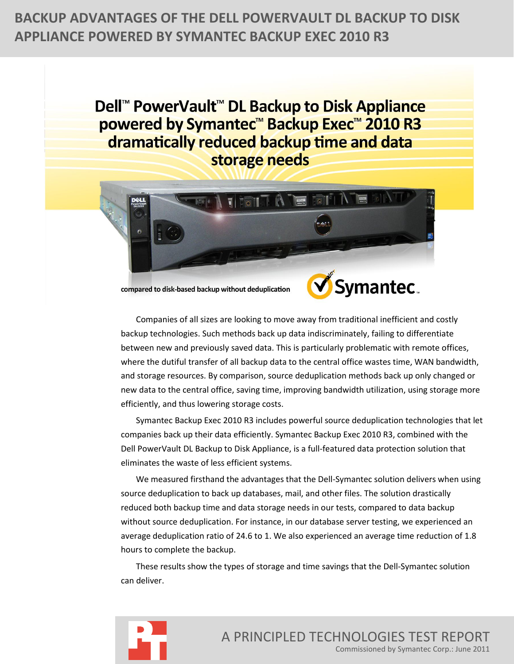# **BACKUP ADVANTAGES OF THE DELL POWERVAULT DL BACKUP TO DISK APPLIANCE POWERED BY SYMANTEC BACKUP EXEC 2010 R3**

Dell<sup>™</sup> PowerVault<sup>™</sup> DL Backup to Disk Appliance powered by Symantec<sup>™</sup> Backup Exec™ 2010 R3 dramatically reduced backup time and data storage needs



compared to disk-based backup without deduplication



Companies of all sizes are looking to move away from traditional inefficient and costly backup technologies. Such methods back up data indiscriminately, failing to differentiate between new and previously saved data. This is particularly problematic with remote offices, where the dutiful transfer of all backup data to the central office wastes time, WAN bandwidth, and storage resources. By comparison, source deduplication methods back up only changed or new data to the central office, saving time, improving bandwidth utilization, using storage more efficiently, and thus lowering storage costs.

Symantec Backup Exec 2010 R3 includes powerful source deduplication technologies that let companies back up their data efficiently. Symantec Backup Exec 2010 R3, combined with the Dell PowerVault DL Backup to Disk Appliance, is a full-featured data protection solution that eliminates the waste of less efficient systems.

We measured firsthand the advantages that the Dell-Symantec solution delivers when using source deduplication to back up databases, mail, and other files. The solution drastically reduced both backup time and data storage needs in our tests, compared to data backup without source deduplication. For instance, in our database server testing, we experienced an average deduplication ratio of 24.6 to 1. We also experienced an average time reduction of 1.8 hours to complete the backup.

These results show the types of storage and time savings that the Dell-Symantec solution can deliver.



A PRINCIPLED TECHNOLOGIES TEST REPORT Commissioned by Symantec Corp.: June 2011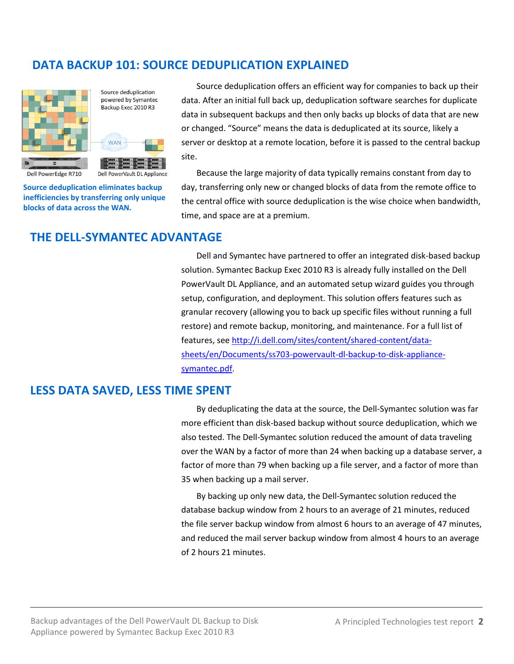# **DATA BACKUP 101: SOURCE DEDUPLICATION EXPLAINED**



Source deduplication powered by Symantec Backup Exec 2010 R3

Dell PowerVault DL Appliance

**MAN** 

Source deduplication offers an efficient way for companies to back up their data. After an initial full back up, deduplication software searches for duplicate data in subsequent backups and then only backs up blocks of data that are new or changed. "Source" means the data is deduplicated at its source, likely a server or desktop at a remote location, before it is passed to the central backup site.

**Source deduplication eliminates backup inefficiencies by transferring only unique blocks of data across the WAN.**

Because the large majority of data typically remains constant from day to day, transferring only new or changed blocks of data from the remote office to the central office with source deduplication is the wise choice when bandwidth, time, and space are at a premium.

# **THE DELL-SYMANTEC ADVANTAGE**

Dell and Symantec have partnered to offer an integrated disk-based backup solution. Symantec Backup Exec 2010 R3 is already fully installed on the Dell PowerVault DL Appliance, and an automated setup wizard guides you through setup, configuration, and deployment. This solution offers features such as granular recovery (allowing you to back up specific files without running a full restore) and remote backup, monitoring, and maintenance. For a full list of features, see [http://i.dell.com/sites/content/shared-content/data](http://i.dell.com/sites/content/shared-content/data-sheets/en/Documents/ss703-powervault-dl-backup-to-disk-appliance-symantec.pdf)[sheets/en/Documents/ss703-powervault-dl-backup-to-disk-appliance](http://i.dell.com/sites/content/shared-content/data-sheets/en/Documents/ss703-powervault-dl-backup-to-disk-appliance-symantec.pdf)[symantec.pdf.](http://i.dell.com/sites/content/shared-content/data-sheets/en/Documents/ss703-powervault-dl-backup-to-disk-appliance-symantec.pdf)

# **LESS DATA SAVED, LESS TIME SPENT**

By deduplicating the data at the source, the Dell-Symantec solution was far more efficient than disk-based backup without source deduplication, which we also tested. The Dell-Symantec solution reduced the amount of data traveling over the WAN by a factor of more than 24 when backing up a database server, a factor of more than 79 when backing up a file server, and a factor of more than 35 when backing up a mail server.

By backing up only new data, the Dell-Symantec solution reduced the database backup window from 2 hours to an average of 21 minutes, reduced the file server backup window from almost 6 hours to an average of 47 minutes, and reduced the mail server backup window from almost 4 hours to an average of 2 hours 21 minutes.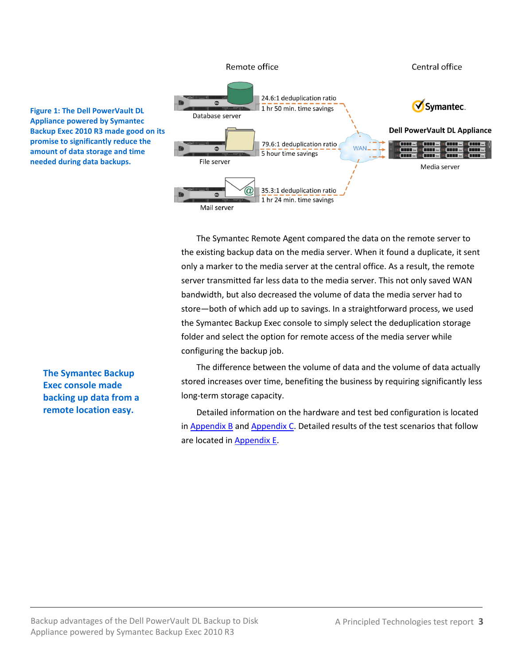

The Symantec Remote Agent compared the data on the remote server to the existing backup data on the media server. When it found a duplicate, it sent only a marker to the media server at the central office. As a result, the remote server transmitted far less data to the media server. This not only saved WAN bandwidth, but also decreased the volume of data the media server had to store—both of which add up to savings. In a straightforward process, we used the Symantec Backup Exec console to simply select the deduplication storage folder and select the option for remote access of the media server while configuring the backup job.

The difference between the volume of data and the volume of data actually stored increases over time, benefiting the business by requiring significantly less long-term storage capacity.

Detailed information on the hardware and test bed configuration is located in [Appendix B](#page-9-0) and [Appendix C.](#page-11-0) Detailed results of the test scenarios that follow are located i[n Appendix](#page-28-0) E.

**The Symantec Backup Exec console made backing up data from a remote location easy.**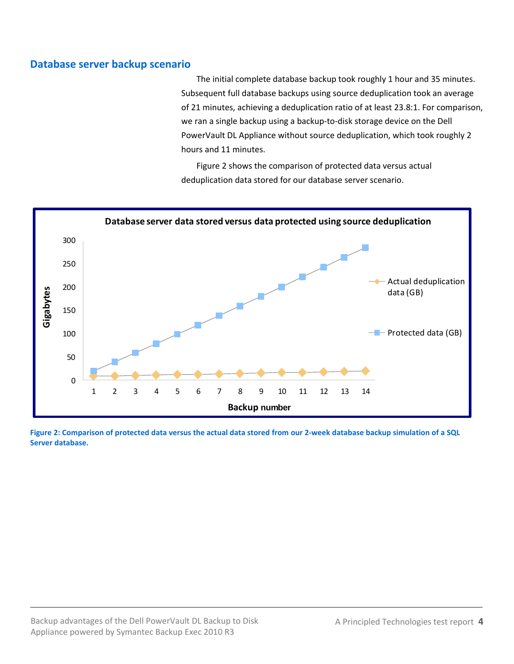# **Database server backup scenario**

The initial complete database backup took roughly 1 hour and 35 minutes. Subsequent full database backups using source deduplication took an average of 21 minutes, achieving a deduplication ratio of at least 23.8:1. For comparison, we ran a single backup using a backup-to-disk storage device on the Dell PowerVault DL Appliance without source deduplication, which took roughly 2 hours and 11 minutes.

Figure 2 shows the comparison of protected data versus actual deduplication data stored for our database server scenario.



**Figure 2: Comparison of protected data versus the actual data stored from our 2-week database backup simulation of a SQL Server database.**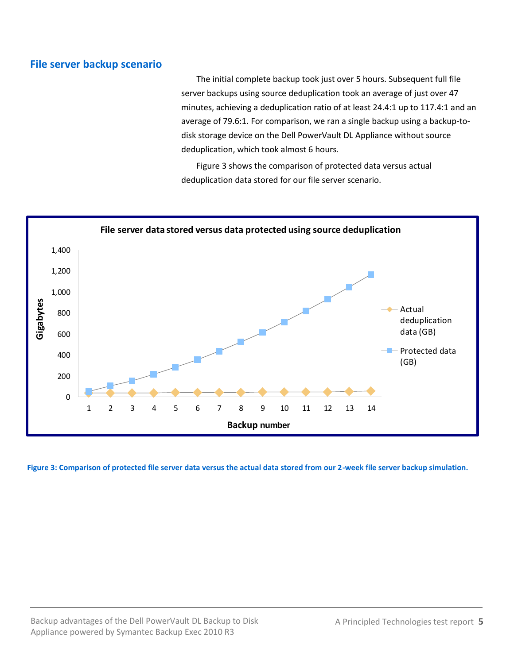# **File server backup scenario**

The initial complete backup took just over 5 hours. Subsequent full file server backups using source deduplication took an average of just over 47 minutes, achieving a deduplication ratio of at least 24.4:1 up to 117.4:1 and an average of 79.6:1. For comparison, we ran a single backup using a backup-todisk storage device on the Dell PowerVault DL Appliance without source deduplication, which took almost 6 hours.

Figure 3 shows the comparison of protected data versus actual deduplication data stored for our file server scenario.



**Figure 3: Comparison of protected file server data versus the actual data stored from our 2-week file server backup simulation.**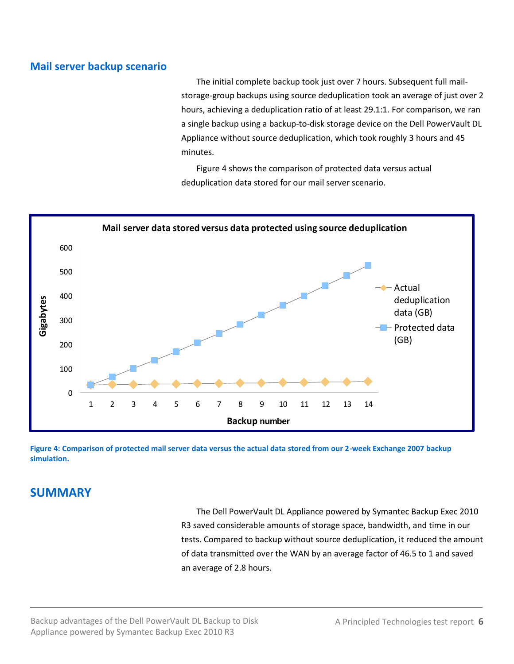# **Mail server backup scenario**

The initial complete backup took just over 7 hours. Subsequent full mailstorage-group backups using source deduplication took an average of just over 2 hours, achieving a deduplication ratio of at least 29.1:1. For comparison, we ran a single backup using a backup-to-disk storage device on the Dell PowerVault DL Appliance without source deduplication, which took roughly 3 hours and 45 minutes.

Figure 4 shows the comparison of protected data versus actual deduplication data stored for our mail server scenario.



**Figure 4: Comparison of protected mail server data versus the actual data stored from our 2-week Exchange 2007 backup simulation.**

# **SUMMARY**

The Dell PowerVault DL Appliance powered by Symantec Backup Exec 2010 R3 saved considerable amounts of storage space, bandwidth, and time in our tests. Compared to backup without source deduplication, it reduced the amount of data transmitted over the WAN by an average factor of 46.5 to 1 and saved an average of 2.8 hours.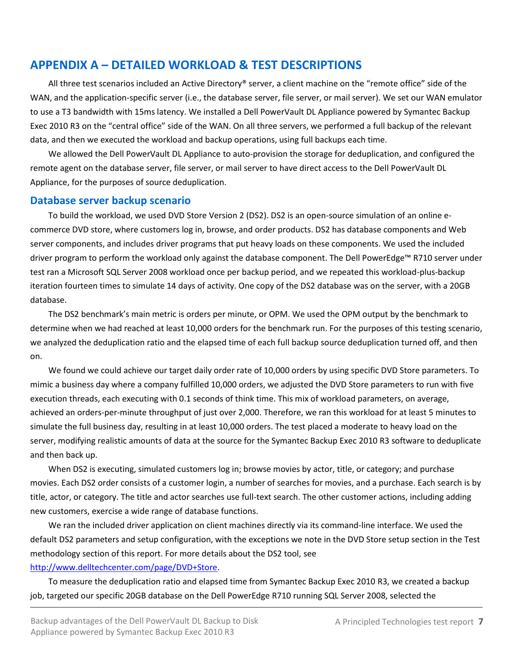# **APPENDIX A – DETAILED WORKLOAD & TEST DESCRIPTIONS**

All three test scenarios included an Active Directory® server, a client machine on the "remote office" side of the WAN, and the application-specific server (i.e., the database server, file server, or mail server). We set our WAN emulator to use a T3 bandwidth with 15ms latency. We installed a Dell PowerVault DL Appliance powered by Symantec Backup Exec 2010 R3 on the "central office" side of the WAN. On all three servers, we performed a full backup of the relevant data, and then we executed the workload and backup operations, using full backups each time.

We allowed the Dell PowerVault DL Appliance to auto-provision the storage for deduplication, and configured the remote agent on the database server, file server, or mail server to have direct access to the Dell PowerVault DL Appliance, for the purposes of source deduplication.

# **Database server backup scenario**

To build the workload, we used DVD Store Version 2 (DS2). DS2 is an open-source simulation of an online ecommerce DVD store, where customers log in, browse, and order products. DS2 has database components and Web server components, and includes driver programs that put heavy loads on these components. We used the included driver program to perform the workload only against the database component. The Dell PowerEdge™ R710 server under test ran a Microsoft SQL Server 2008 workload once per backup period, and we repeated this workload-plus-backup iteration fourteen times to simulate 14 days of activity. One copy of the DS2 database was on the server, with a 20GB database.

The DS2 benchmark's main metric is orders per minute, or OPM. We used the OPM output by the benchmark to determine when we had reached at least 10,000 orders for the benchmark run. For the purposes of this testing scenario, we analyzed the deduplication ratio and the elapsed time of each full backup source deduplication turned off, and then on.

We found we could achieve our target daily order rate of 10,000 orders by using specific DVD Store parameters. To mimic a business day where a company fulfilled 10,000 orders, we adjusted the DVD Store parameters to run with five execution threads, each executing with 0.1 seconds of think time. This mix of workload parameters, on average, achieved an orders-per-minute throughput of just over 2,000. Therefore, we ran this workload for at least 5 minutes to simulate the full business day, resulting in at least 10,000 orders. The test placed a moderate to heavy load on the server, modifying realistic amounts of data at the source for the Symantec Backup Exec 2010 R3 software to deduplicate and then back up.

When DS2 is executing, simulated customers log in; browse movies by actor, title, or category; and purchase movies. Each DS2 order consists of a customer login, a number of searches for movies, and a purchase. Each search is by title, actor, or category. The title and actor searches use full-text search. The other customer actions, including adding new customers, exercise a wide range of database functions.

We ran the included driver application on client machines directly via its command-line interface. We used the default DS2 parameters and setup configuration, with the exceptions we note in the DVD Store setup section in the Test methodology section of this report. For more details about the DS2 tool, see

### [http://www.delltechcenter.com/page/DVD+Store.](http://www.delltechcenter.com/page/DVD+Store)

To measure the deduplication ratio and elapsed time from Symantec Backup Exec 2010 R3, we created a backup job, targeted our specific 20GB database on the Dell PowerEdge R710 running SQL Server 2008, selected the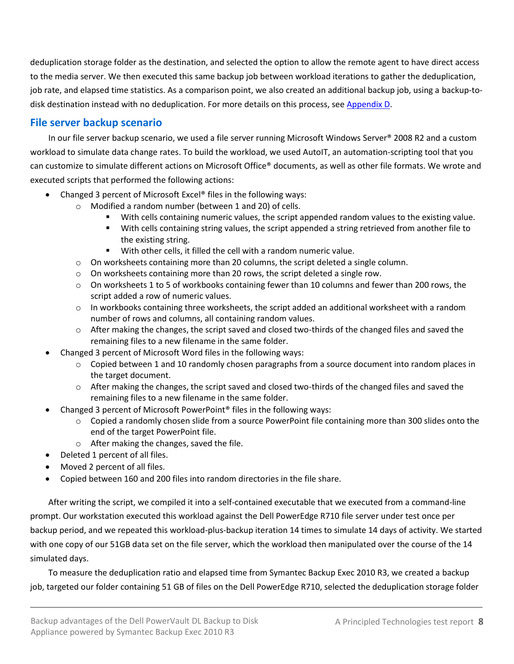deduplication storage folder as the destination, and selected the option to allow the remote agent to have direct access to the media server. We then executed this same backup job between workload iterations to gather the deduplication, job rate, and elapsed time statistics. As a comparison point, we also created an additional backup job, using a backup-to-disk destination instead with no deduplication. For more details on this process, see [Appendix D.](#page-13-0)

# **File server backup scenario**

In our file server backup scenario, we used a file server running Microsoft Windows Server® 2008 R2 and a custom workload to simulate data change rates. To build the workload, we used AutoIT, an automation-scripting tool that you can customize to simulate different actions on Microsoft Office® documents, as well as other file formats. We wrote and executed scripts that performed the following actions:

- Changed 3 percent of Microsoft Excel® files in the following ways:
	- o Modified a random number (between 1 and 20) of cells.
		- With cells containing numeric values, the script appended random values to the existing value.
		- With cells containing string values, the script appended a string retrieved from another file to the existing string.
		- With other cells, it filled the cell with a random numeric value.
	- $\circ$  On worksheets containing more than 20 columns, the script deleted a single column.
	- $\circ$  On worksheets containing more than 20 rows, the script deleted a single row.
	- o On worksheets 1 to 5 of workbooks containing fewer than 10 columns and fewer than 200 rows, the script added a row of numeric values.
	- $\circ$  In workbooks containing three worksheets, the script added an additional worksheet with a random number of rows and columns, all containing random values.
	- $\circ$  After making the changes, the script saved and closed two-thirds of the changed files and saved the remaining files to a new filename in the same folder.
- Changed 3 percent of Microsoft Word files in the following ways:
	- o Copied between 1 and 10 randomly chosen paragraphs from a source document into random places in the target document.
	- o After making the changes, the script saved and closed two-thirds of the changed files and saved the remaining files to a new filename in the same folder.
- Changed 3 percent of Microsoft PowerPoint® files in the following ways:
	- $\circ$  Copied a randomly chosen slide from a source PowerPoint file containing more than 300 slides onto the end of the target PowerPoint file.
	- o After making the changes, saved the file.
- Deleted 1 percent of all files.
- Moved 2 percent of all files.
- Copied between 160 and 200 files into random directories in the file share.

After writing the script, we compiled it into a self-contained executable that we executed from a command-line prompt. Our workstation executed this workload against the Dell PowerEdge R710 file server under test once per backup period, and we repeated this workload-plus-backup iteration 14 times to simulate 14 days of activity. We started with one copy of our 51GB data set on the file server, which the workload then manipulated over the course of the 14 simulated days.

To measure the deduplication ratio and elapsed time from Symantec Backup Exec 2010 R3, we created a backup job, targeted our folder containing 51 GB of files on the Dell PowerEdge R710, selected the deduplication storage folder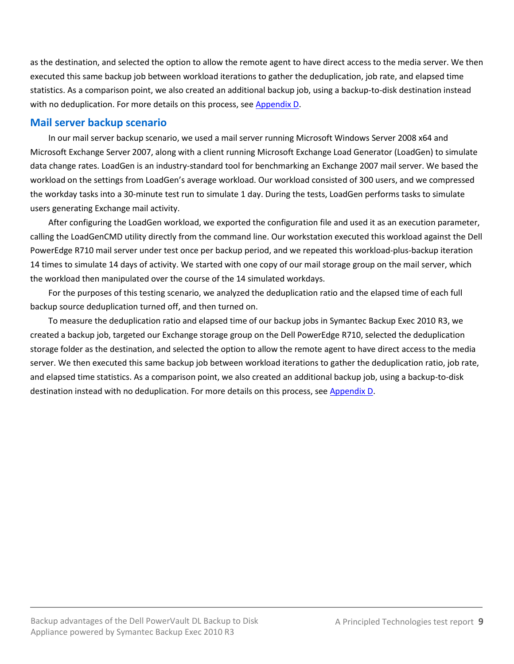as the destination, and selected the option to allow the remote agent to have direct access to the media server. We then executed this same backup job between workload iterations to gather the deduplication, job rate, and elapsed time statistics. As a comparison point, we also created an additional backup job, using a backup-to-disk destination instead with no deduplication. For more details on this process, se[e Appendix D.](#page-13-0)

# **Mail server backup scenario**

In our mail server backup scenario, we used a mail server running Microsoft Windows Server 2008 x64 and Microsoft Exchange Server 2007, along with a client running Microsoft Exchange Load Generator (LoadGen) to simulate data change rates. LoadGen is an industry-standard tool for benchmarking an Exchange 2007 mail server. We based the workload on the settings from LoadGen's average workload. Our workload consisted of 300 users, and we compressed the workday tasks into a 30-minute test run to simulate 1 day. During the tests, LoadGen performs tasks to simulate users generating Exchange mail activity.

After configuring the LoadGen workload, we exported the configuration file and used it as an execution parameter, calling the LoadGenCMD utility directly from the command line. Our workstation executed this workload against the Dell PowerEdge R710 mail server under test once per backup period, and we repeated this workload-plus-backup iteration 14 times to simulate 14 days of activity. We started with one copy of our mail storage group on the mail server, which the workload then manipulated over the course of the 14 simulated workdays.

For the purposes of this testing scenario, we analyzed the deduplication ratio and the elapsed time of each full backup source deduplication turned off, and then turned on.

To measure the deduplication ratio and elapsed time of our backup jobs in Symantec Backup Exec 2010 R3, we created a backup job, targeted our Exchange storage group on the Dell PowerEdge R710, selected the deduplication storage folder as the destination, and selected the option to allow the remote agent to have direct access to the media server. We then executed this same backup job between workload iterations to gather the deduplication ratio, job rate, and elapsed time statistics. As a comparison point, we also created an additional backup job, using a backup-to-disk destination instead with no deduplication. For more details on this process, see [Appendix D.](#page-13-0)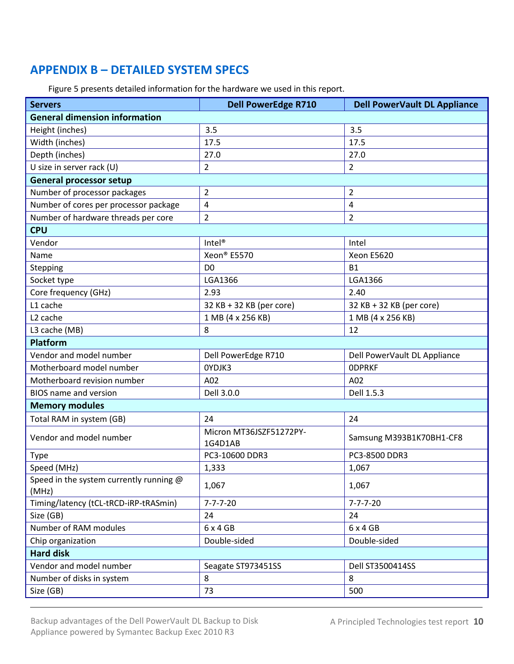# <span id="page-9-0"></span>**APPENDIX B – DETAILED SYSTEM SPECS**

Figure 5 presents detailed information for the hardware we used in this report.

| <b>General dimension information</b><br>3.5<br>3.5<br>Height (inches)<br>Width (inches)<br>17.5<br>17.5<br>Depth (inches)<br>27.0<br>27.0<br>U size in server rack (U)<br>$\overline{2}$<br>$\overline{2}$<br><b>General processor setup</b><br>Number of processor packages<br>$\overline{2}$<br>2<br>Number of cores per processor package<br>4<br>4<br>Number of hardware threads per core<br>$\overline{2}$<br>$\overline{2}$<br><b>CPU</b><br>Vendor<br>$Intel^{\circledR}$<br>Intel<br>Xeon® E5570<br><b>Xeon E5620</b><br>Name<br>Stepping<br>D <sub>0</sub><br><b>B1</b><br>LGA1366<br>LGA1366<br>Socket type<br>Core frequency (GHz)<br>2.93<br>2.40<br>L1 cache<br>32 KB + 32 KB (per core)<br>32 KB + 32 KB (per core)<br>L <sub>2</sub> cache<br>1 MB (4 x 256 KB)<br>1 MB (4 x 256 KB) |  |  |  |  |
|-----------------------------------------------------------------------------------------------------------------------------------------------------------------------------------------------------------------------------------------------------------------------------------------------------------------------------------------------------------------------------------------------------------------------------------------------------------------------------------------------------------------------------------------------------------------------------------------------------------------------------------------------------------------------------------------------------------------------------------------------------------------------------------------------------|--|--|--|--|
|                                                                                                                                                                                                                                                                                                                                                                                                                                                                                                                                                                                                                                                                                                                                                                                                     |  |  |  |  |
|                                                                                                                                                                                                                                                                                                                                                                                                                                                                                                                                                                                                                                                                                                                                                                                                     |  |  |  |  |
|                                                                                                                                                                                                                                                                                                                                                                                                                                                                                                                                                                                                                                                                                                                                                                                                     |  |  |  |  |
|                                                                                                                                                                                                                                                                                                                                                                                                                                                                                                                                                                                                                                                                                                                                                                                                     |  |  |  |  |
|                                                                                                                                                                                                                                                                                                                                                                                                                                                                                                                                                                                                                                                                                                                                                                                                     |  |  |  |  |
|                                                                                                                                                                                                                                                                                                                                                                                                                                                                                                                                                                                                                                                                                                                                                                                                     |  |  |  |  |
|                                                                                                                                                                                                                                                                                                                                                                                                                                                                                                                                                                                                                                                                                                                                                                                                     |  |  |  |  |
|                                                                                                                                                                                                                                                                                                                                                                                                                                                                                                                                                                                                                                                                                                                                                                                                     |  |  |  |  |
|                                                                                                                                                                                                                                                                                                                                                                                                                                                                                                                                                                                                                                                                                                                                                                                                     |  |  |  |  |
|                                                                                                                                                                                                                                                                                                                                                                                                                                                                                                                                                                                                                                                                                                                                                                                                     |  |  |  |  |
|                                                                                                                                                                                                                                                                                                                                                                                                                                                                                                                                                                                                                                                                                                                                                                                                     |  |  |  |  |
|                                                                                                                                                                                                                                                                                                                                                                                                                                                                                                                                                                                                                                                                                                                                                                                                     |  |  |  |  |
|                                                                                                                                                                                                                                                                                                                                                                                                                                                                                                                                                                                                                                                                                                                                                                                                     |  |  |  |  |
|                                                                                                                                                                                                                                                                                                                                                                                                                                                                                                                                                                                                                                                                                                                                                                                                     |  |  |  |  |
|                                                                                                                                                                                                                                                                                                                                                                                                                                                                                                                                                                                                                                                                                                                                                                                                     |  |  |  |  |
|                                                                                                                                                                                                                                                                                                                                                                                                                                                                                                                                                                                                                                                                                                                                                                                                     |  |  |  |  |
|                                                                                                                                                                                                                                                                                                                                                                                                                                                                                                                                                                                                                                                                                                                                                                                                     |  |  |  |  |
| L3 cache (MB)<br>8<br>12                                                                                                                                                                                                                                                                                                                                                                                                                                                                                                                                                                                                                                                                                                                                                                            |  |  |  |  |
| <b>Platform</b>                                                                                                                                                                                                                                                                                                                                                                                                                                                                                                                                                                                                                                                                                                                                                                                     |  |  |  |  |
| Vendor and model number<br>Dell PowerEdge R710<br>Dell PowerVault DL Appliance                                                                                                                                                                                                                                                                                                                                                                                                                                                                                                                                                                                                                                                                                                                      |  |  |  |  |
| Motherboard model number<br>OYDJK3<br><b>ODPRKF</b>                                                                                                                                                                                                                                                                                                                                                                                                                                                                                                                                                                                                                                                                                                                                                 |  |  |  |  |
| Motherboard revision number<br>A02<br>A02                                                                                                                                                                                                                                                                                                                                                                                                                                                                                                                                                                                                                                                                                                                                                           |  |  |  |  |
| Dell 3.0.0<br>Dell 1.5.3<br><b>BIOS</b> name and version                                                                                                                                                                                                                                                                                                                                                                                                                                                                                                                                                                                                                                                                                                                                            |  |  |  |  |
| <b>Memory modules</b>                                                                                                                                                                                                                                                                                                                                                                                                                                                                                                                                                                                                                                                                                                                                                                               |  |  |  |  |
| Total RAM in system (GB)<br>24<br>24                                                                                                                                                                                                                                                                                                                                                                                                                                                                                                                                                                                                                                                                                                                                                                |  |  |  |  |
| Micron MT36JSZF51272PY-<br>Vendor and model number<br>Samsung M393B1K70BH1-CF8<br>1G4D1AB                                                                                                                                                                                                                                                                                                                                                                                                                                                                                                                                                                                                                                                                                                           |  |  |  |  |
| PC3-10600 DDR3<br>PC3-8500 DDR3<br><b>Type</b>                                                                                                                                                                                                                                                                                                                                                                                                                                                                                                                                                                                                                                                                                                                                                      |  |  |  |  |
| Speed (MHz)<br>1,333<br>1,067                                                                                                                                                                                                                                                                                                                                                                                                                                                                                                                                                                                                                                                                                                                                                                       |  |  |  |  |
| Speed in the system currently running @<br>1,067<br>1,067<br>(MHz)                                                                                                                                                                                                                                                                                                                                                                                                                                                                                                                                                                                                                                                                                                                                  |  |  |  |  |
| Timing/latency (tCL-tRCD-iRP-tRASmin)<br>$7 - 7 - 7 - 20$<br>$7 - 7 - 7 - 20$                                                                                                                                                                                                                                                                                                                                                                                                                                                                                                                                                                                                                                                                                                                       |  |  |  |  |
| Size (GB)<br>24<br>24                                                                                                                                                                                                                                                                                                                                                                                                                                                                                                                                                                                                                                                                                                                                                                               |  |  |  |  |
| Number of RAM modules<br>6 x 4 GB<br>6x4GB                                                                                                                                                                                                                                                                                                                                                                                                                                                                                                                                                                                                                                                                                                                                                          |  |  |  |  |
| Double-sided<br>Chip organization<br>Double-sided                                                                                                                                                                                                                                                                                                                                                                                                                                                                                                                                                                                                                                                                                                                                                   |  |  |  |  |
| <b>Hard disk</b>                                                                                                                                                                                                                                                                                                                                                                                                                                                                                                                                                                                                                                                                                                                                                                                    |  |  |  |  |
| Vendor and model number<br>Seagate ST973451SS<br>Dell ST3500414SS                                                                                                                                                                                                                                                                                                                                                                                                                                                                                                                                                                                                                                                                                                                                   |  |  |  |  |
| Number of disks in system<br>8<br>8                                                                                                                                                                                                                                                                                                                                                                                                                                                                                                                                                                                                                                                                                                                                                                 |  |  |  |  |
| Size (GB)<br>73<br>500                                                                                                                                                                                                                                                                                                                                                                                                                                                                                                                                                                                                                                                                                                                                                                              |  |  |  |  |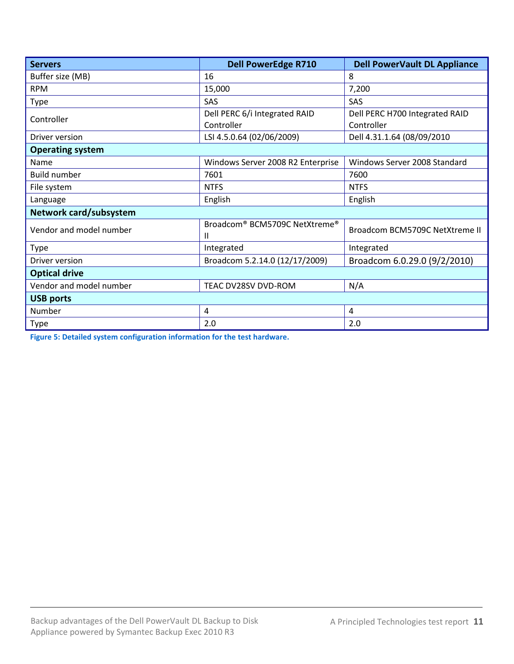| <b>Servers</b>          | <b>Dell PowerEdge R710</b>                                 | <b>Dell PowerVault DL Appliance</b> |  |  |
|-------------------------|------------------------------------------------------------|-------------------------------------|--|--|
| Buffer size (MB)        | 16                                                         | 8                                   |  |  |
| <b>RPM</b>              | 15,000                                                     | 7,200                               |  |  |
| <b>Type</b>             | SAS                                                        | SAS                                 |  |  |
| Controller              | Dell PERC 6/i Integrated RAID                              | Dell PERC H700 Integrated RAID      |  |  |
|                         | Controller                                                 | Controller                          |  |  |
| Driver version          | LSI 4.5.0.64 (02/06/2009)                                  | Dell 4.31.1.64 (08/09/2010          |  |  |
| <b>Operating system</b> |                                                            |                                     |  |  |
| Name                    | Windows Server 2008 R2 Enterprise                          | Windows Server 2008 Standard        |  |  |
| <b>Build number</b>     | 7601                                                       | 7600                                |  |  |
| File system             | <b>NTFS</b>                                                | <b>NTFS</b>                         |  |  |
| Language                | English                                                    | English                             |  |  |
| Network card/subsystem  |                                                            |                                     |  |  |
| Vendor and model number | Broadcom <sup>®</sup> BCM5709C NetXtreme <sup>®</sup><br>Ш | Broadcom BCM5709C NetXtreme II      |  |  |
| <b>Type</b>             | Integrated                                                 | Integrated                          |  |  |
| Driver version          | Broadcom 5.2.14.0 (12/17/2009)                             | Broadcom 6.0.29.0 (9/2/2010)        |  |  |
| <b>Optical drive</b>    |                                                            |                                     |  |  |
| Vendor and model number | TEAC DV28SV DVD-ROM                                        | N/A                                 |  |  |
| <b>USB ports</b>        |                                                            |                                     |  |  |
| Number                  | 4                                                          | 4                                   |  |  |
| <b>Type</b>             | 2.0                                                        | 2.0                                 |  |  |

**Figure 5: Detailed system configuration information for the test hardware.**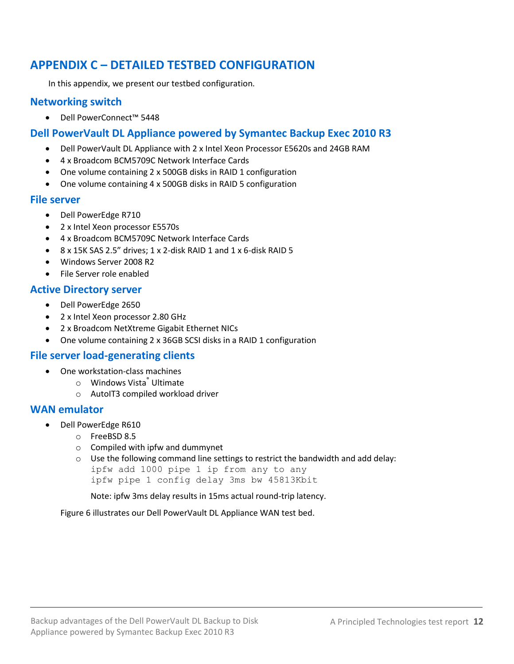# <span id="page-11-0"></span>**APPENDIX C – DETAILED TESTBED CONFIGURATION**

In this appendix, we present our testbed configuration.

# **Networking switch**

Dell PowerConnect™ 5448

# **Dell PowerVault DL Appliance powered by Symantec Backup Exec 2010 R3**

- Dell PowerVault DL Appliance with 2 x Intel Xeon Processor E5620s and 24GB RAM
- 4 x Broadcom BCM5709C Network Interface Cards
- One volume containing 2 x 500GB disks in RAID 1 configuration
- One volume containing 4 x 500GB disks in RAID 5 configuration

### **File server**

- Dell PowerEdge R710
- 2 x Intel Xeon processor E5570s
- 4 x Broadcom BCM5709C Network Interface Cards
- $\bullet$  8 x 15K SAS 2.5" drives: 1 x 2-disk RAID 1 and 1 x 6-disk RAID 5
- Windows Server 2008 R2
- File Server role enabled

# **Active Directory server**

- Dell PowerEdge 2650
- 2 x Intel Xeon processor 2.80 GHz
- 2 x Broadcom NetXtreme Gigabit Ethernet NICs
- One volume containing 2 x 36GB SCSI disks in a RAID 1 configuration

# **File server load-generating clients**

- One workstation-class machines
	- o Windows Vista® Ultimate
	- o AutoIT3 compiled workload driver

### **WAN emulator**

- Dell PowerEdge R610
	- o FreeBSD 8.5
	- o Compiled with ipfw and dummynet
	- $\circ$  Use the following command line settings to restrict the bandwidth and add delay:

ipfw add 1000 pipe 1 ip from any to any ipfw pipe 1 config delay 3ms bw 45813Kbit

Note: ipfw 3ms delay results in 15ms actual round-trip latency.

Figure 6 illustrates our Dell PowerVault DL Appliance WAN test bed.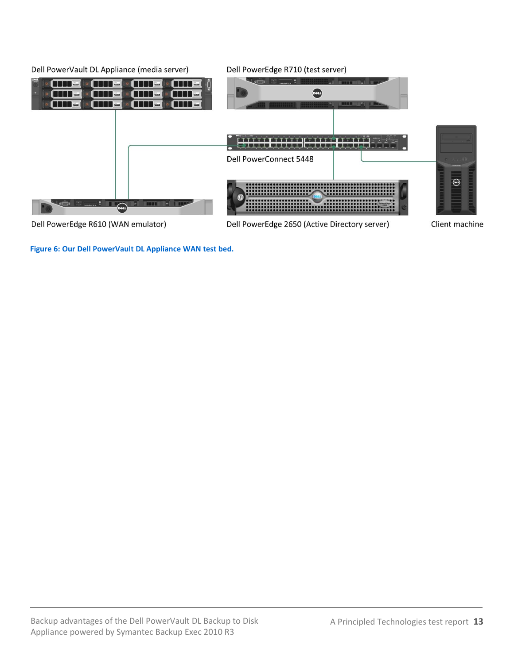

**Figure 6: Our Dell PowerVault DL Appliance WAN test bed.**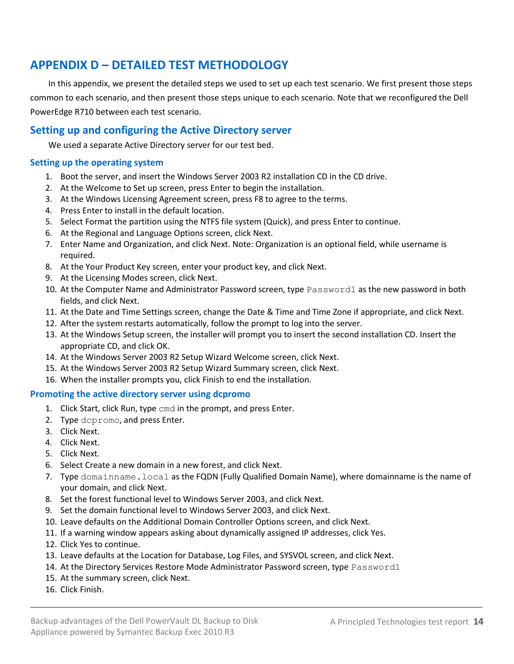# <span id="page-13-0"></span>**APPENDIX D – DETAILED TEST METHODOLOGY**

In this appendix, we present the detailed steps we used to set up each test scenario. We first present those steps common to each scenario, and then present those steps unique to each scenario. Note that we reconfigured the Dell PowerEdge R710 between each test scenario.

# **Setting up and configuring the Active Directory server**

We used a separate Active Directory server for our test bed.

#### **Setting up the operating system**

- 1. Boot the server, and insert the Windows Server 2003 R2 installation CD in the CD drive.
- 2. At the Welcome to Set up screen, press Enter to begin the installation.
- 3. At the Windows Licensing Agreement screen, press F8 to agree to the terms.
- 4. Press Enter to install in the default location.
- 5. Select Format the partition using the NTFS file system (Quick), and press Enter to continue.
- 6. At the Regional and Language Options screen, click Next.
- 7. Enter Name and Organization, and click Next. Note: Organization is an optional field, while username is required.
- 8. At the Your Product Key screen, enter your product key, and click Next.
- 9. At the Licensing Modes screen, click Next.
- 10. At the Computer Name and Administrator Password screen, type Password1 as the new password in both fields, and click Next.
- 11. At the Date and Time Settings screen, change the Date & Time and Time Zone if appropriate, and click Next.
- 12. After the system restarts automatically, follow the prompt to log into the server.
- 13. At the Windows Setup screen, the installer will prompt you to insert the second installation CD. Insert the appropriate CD, and click OK.
- 14. At the Windows Server 2003 R2 Setup Wizard Welcome screen, click Next.
- 15. At the Windows Server 2003 R2 Setup Wizard Summary screen, click Next.
- 16. When the installer prompts you, click Finish to end the installation.

#### **Promoting the active directory server using dcpromo**

- 1. Click Start, click Run, type cmd in the prompt, and press Enter.
- 2. Type dcpromo, and press Enter.
- 3. Click Next.
- 4. Click Next.
- 5. Click Next.
- 6. Select Create a new domain in a new forest, and click Next.
- 7. Type domainname.local as the FQDN (Fully Qualified Domain Name), where domainname is the name of your domain, and click Next.
- 8. Set the forest functional level to Windows Server 2003, and click Next.
- 9. Set the domain functional level to Windows Server 2003, and click Next.
- 10. Leave defaults on the Additional Domain Controller Options screen, and click Next.
- 11. If a warning window appears asking about dynamically assigned IP addresses, click Yes.
- 12. Click Yes to continue.
- 13. Leave defaults at the Location for Database, Log Files, and SYSVOL screen, and click Next.
- 14. At the Directory Services Restore Mode Administrator Password screen, type Password1
- 15. At the summary screen, click Next.
- 16. Click Finish.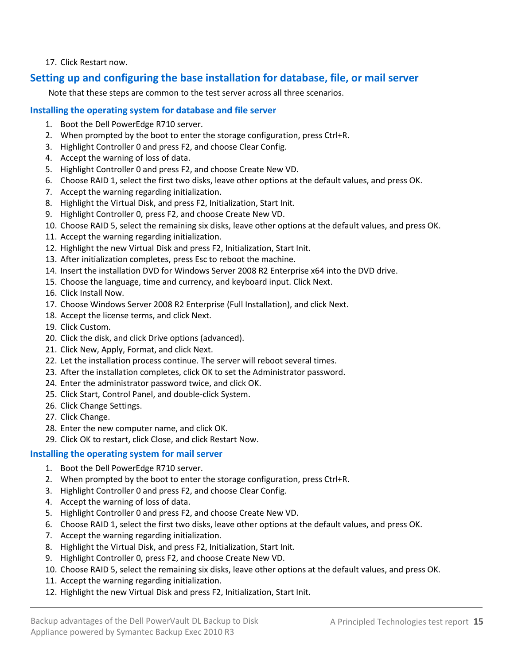### 17. Click Restart now.

# **Setting up and configuring the base installation for database, file, or mail server**

Note that these steps are common to the test server across all three scenarios.

### **Installing the operating system for database and file server**

- 1. Boot the Dell PowerEdge R710 server.
- 2. When prompted by the boot to enter the storage configuration, press Ctrl+R.
- 3. Highlight Controller 0 and press F2, and choose Clear Config.
- 4. Accept the warning of loss of data.
- 5. Highlight Controller 0 and press F2, and choose Create New VD.
- 6. Choose RAID 1, select the first two disks, leave other options at the default values, and press OK.
- 7. Accept the warning regarding initialization.
- 8. Highlight the Virtual Disk, and press F2, Initialization, Start Init.
- 9. Highlight Controller 0, press F2, and choose Create New VD.
- 10. Choose RAID 5, select the remaining six disks, leave other options at the default values, and press OK.
- 11. Accept the warning regarding initialization.
- 12. Highlight the new Virtual Disk and press F2, Initialization, Start Init.
- 13. After initialization completes, press Esc to reboot the machine.
- 14. Insert the installation DVD for Windows Server 2008 R2 Enterprise x64 into the DVD drive.
- 15. Choose the language, time and currency, and keyboard input. Click Next.
- 16. Click Install Now.
- 17. Choose Windows Server 2008 R2 Enterprise (Full Installation), and click Next.
- 18. Accept the license terms, and click Next.
- 19. Click Custom.
- 20. Click the disk, and click Drive options (advanced).
- 21. Click New, Apply, Format, and click Next.
- 22. Let the installation process continue. The server will reboot several times.
- 23. After the installation completes, click OK to set the Administrator password.
- 24. Enter the administrator password twice, and click OK.
- 25. Click Start, Control Panel, and double-click System.
- 26. Click Change Settings.
- 27. Click Change.
- 28. Enter the new computer name, and click OK.
- 29. Click OK to restart, click Close, and click Restart Now.

# **Installing the operating system for mail server**

- 1. Boot the Dell PowerEdge R710 server.
- 2. When prompted by the boot to enter the storage configuration, press Ctrl+R.
- 3. Highlight Controller 0 and press F2, and choose Clear Config.
- 4. Accept the warning of loss of data.
- 5. Highlight Controller 0 and press F2, and choose Create New VD.
- 6. Choose RAID 1, select the first two disks, leave other options at the default values, and press OK.
- 7. Accept the warning regarding initialization.
- 8. Highlight the Virtual Disk, and press F2, Initialization, Start Init.
- 9. Highlight Controller 0, press F2, and choose Create New VD.
- 10. Choose RAID 5, select the remaining six disks, leave other options at the default values, and press OK.
- 11. Accept the warning regarding initialization.
- 12. Highlight the new Virtual Disk and press F2, Initialization, Start Init.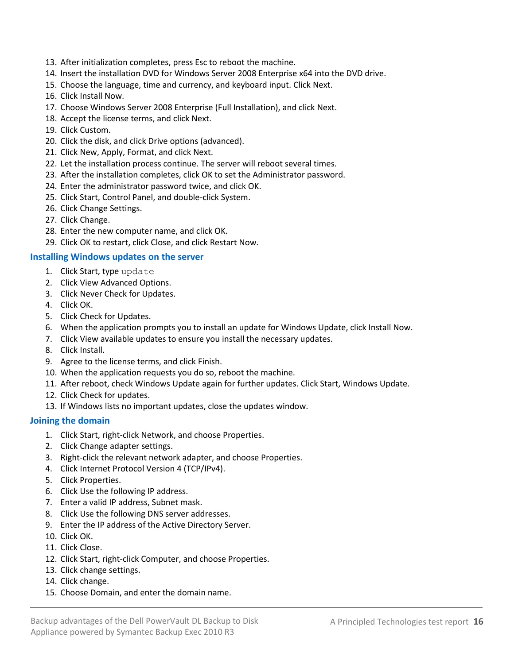- 13. After initialization completes, press Esc to reboot the machine.
- 14. Insert the installation DVD for Windows Server 2008 Enterprise x64 into the DVD drive.
- 15. Choose the language, time and currency, and keyboard input. Click Next.
- 16. Click Install Now.
- 17. Choose Windows Server 2008 Enterprise (Full Installation), and click Next.
- 18. Accept the license terms, and click Next.
- 19. Click Custom.
- 20. Click the disk, and click Drive options (advanced).
- 21. Click New, Apply, Format, and click Next.
- 22. Let the installation process continue. The server will reboot several times.
- 23. After the installation completes, click OK to set the Administrator password.
- 24. Enter the administrator password twice, and click OK.
- 25. Click Start, Control Panel, and double-click System.
- 26. Click Change Settings.
- 27. Click Change.
- 28. Enter the new computer name, and click OK.
- 29. Click OK to restart, click Close, and click Restart Now.

### **Installing Windows updates on the server**

- 1. Click Start, type update
- 2. Click View Advanced Options.
- 3. Click Never Check for Updates.
- 4. Click OK.
- 5. Click Check for Updates.
- 6. When the application prompts you to install an update for Windows Update, click Install Now.
- 7. Click View available updates to ensure you install the necessary updates.
- 8. Click Install.
- 9. Agree to the license terms, and click Finish.
- 10. When the application requests you do so, reboot the machine.
- 11. After reboot, check Windows Update again for further updates. Click Start, Windows Update.
- 12. Click Check for updates.
- 13. If Windows lists no important updates, close the updates window.

### <span id="page-15-0"></span>**Joining the domain**

- 1. Click Start, right-click Network, and choose Properties.
- 2. Click Change adapter settings.
- 3. Right-click the relevant network adapter, and choose Properties.
- 4. Click Internet Protocol Version 4 (TCP/IPv4).
- 5. Click Properties.
- 6. Click Use the following IP address.
- 7. Enter a valid IP address, Subnet mask.
- 8. Click Use the following DNS server addresses.
- 9. Enter the IP address of the Active Directory Server.
- 10. Click OK.
- 11. Click Close.
- 12. Click Start, right-click Computer, and choose Properties.
- 13. Click change settings.
- 14. Click change.
- 15. Choose Domain, and enter the domain name.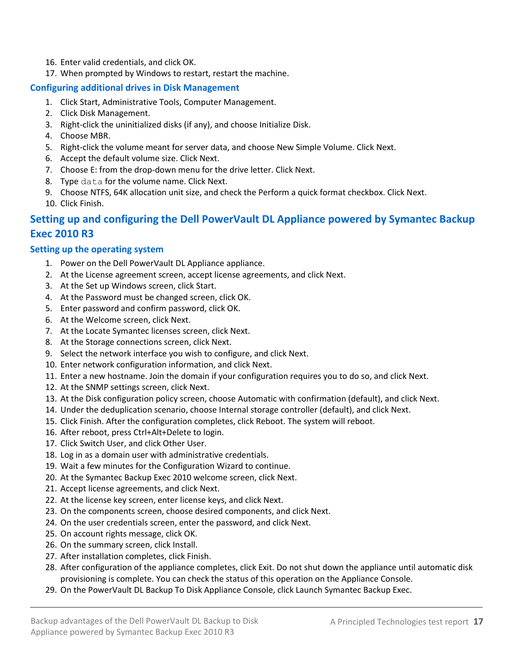- 16. Enter valid credentials, and click OK.
- 17. When prompted by Windows to restart, restart the machine.

### <span id="page-16-0"></span>**Configuring additional drives in Disk Management**

- 1. Click Start, Administrative Tools, Computer Management.
- 2. Click Disk Management.
- 3. Right-click the uninitialized disks (if any), and choose Initialize Disk.
- 4. Choose MBR.
- 5. Right-click the volume meant for server data, and choose New Simple Volume. Click Next.
- 6. Accept the default volume size. Click Next.
- 7. Choose E: from the drop-down menu for the drive letter. Click Next.
- 8. Type data for the volume name. Click Next.
- 9. Choose NTFS, 64K allocation unit size, and check the Perform a quick format checkbox. Click Next.

10. Click Finish.

# **Setting up and configuring the Dell PowerVault DL Appliance powered by Symantec Backup Exec 2010 R3**

### **Setting up the operating system**

- 1. Power on the Dell PowerVault DL Appliance appliance.
- 2. At the License agreement screen, accept license agreements, and click Next.
- 3. At the Set up Windows screen, click Start.
- 4. At the Password must be changed screen, click OK.
- 5. Enter password and confirm password, click OK.
- 6. At the Welcome screen, click Next.
- 7. At the Locate Symantec licenses screen, click Next.
- 8. At the Storage connections screen, click Next.
- 9. Select the network interface you wish to configure, and click Next.
- 10. Enter network configuration information, and click Next.
- 11. Enter a new hostname. Join the domain if your configuration requires you to do so, and click Next.
- 12. At the SNMP settings screen, click Next.
- 13. At the Disk configuration policy screen, choose Automatic with confirmation (default), and click Next.
- 14. Under the deduplication scenario, choose Internal storage controller (default), and click Next.
- 15. Click Finish. After the configuration completes, click Reboot. The system will reboot.
- 16. After reboot, press Ctrl+Alt+Delete to login.
- 17. Click Switch User, and click Other User.
- 18. Log in as a domain user with administrative credentials.
- 19. Wait a few minutes for the Configuration Wizard to continue.
- 20. At the Symantec Backup Exec 2010 welcome screen, click Next.
- 21. Accept license agreements, and click Next.
- 22. At the license key screen, enter license keys, and click Next.
- 23. On the components screen, choose desired components, and click Next.
- 24. On the user credentials screen, enter the password, and click Next.
- 25. On account rights message, click OK.
- 26. On the summary screen, click Install.
- 27. After installation completes, click Finish.
- 28. After configuration of the appliance completes, click Exit. Do not shut down the appliance until automatic disk provisioning is complete. You can check the status of this operation on the Appliance Console.
- 29. On the PowerVault DL Backup To Disk Appliance Console, click Launch Symantec Backup Exec.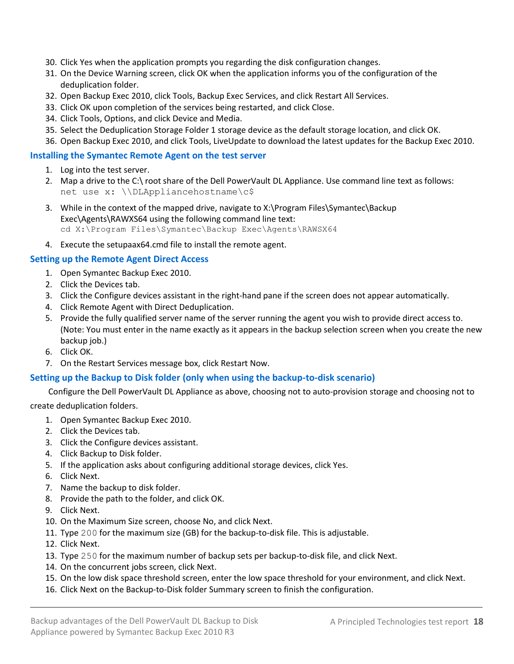- 30. Click Yes when the application prompts you regarding the disk configuration changes.
- 31. On the Device Warning screen, click OK when the application informs you of the configuration of the deduplication folder.
- 32. Open Backup Exec 2010, click Tools, Backup Exec Services, and click Restart All Services.
- 33. Click OK upon completion of the services being restarted, and click Close.
- 34. Click Tools, Options, and click Device and Media.
- 35. Select the Deduplication Storage Folder 1 storage device as the default storage location, and click OK.
- 36. Open Backup Exec 2010, and click Tools, LiveUpdate to download the latest updates for the Backup Exec 2010.

### **Installing the Symantec Remote Agent on the test server**

- 1. Log into the test server.
- 2. Map a drive to the C:\ root share of the Dell PowerVault DL Appliance. Use command line text as follows: net use x: \\DLAppliancehostname\c\$
- 3. While in the context of the mapped drive, navigate to X:\Program Files\Symantec\Backup Exec\Agents\RAWXS64 using the following command line text: cd X:\Program Files\Symantec\Backup Exec\Agents\RAWSX64
- 4. Execute the setupaax64.cmd file to install the remote agent.

### **Setting up the Remote Agent Direct Access**

- 1. Open Symantec Backup Exec 2010.
- 2. Click the Devices tab.
- 3. Click the Configure devices assistant in the right-hand pane if the screen does not appear automatically.
- 4. Click Remote Agent with Direct Deduplication.
- 5. Provide the fully qualified server name of the server running the agent you wish to provide direct access to. (Note: You must enter in the name exactly as it appears in the backup selection screen when you create the new backup job.)
- 6. Click OK.
- 7. On the Restart Services message box, click Restart Now.

### <span id="page-17-0"></span>**Setting up the Backup to Disk folder (only when using the backup-to-disk scenario)**

Configure the Dell PowerVault DL Appliance as above, choosing not to auto-provision storage and choosing not to

create deduplication folders.

- 1. Open Symantec Backup Exec 2010.
- 2. Click the Devices tab.
- 3. Click the Configure devices assistant.
- 4. Click Backup to Disk folder.
- 5. If the application asks about configuring additional storage devices, click Yes.
- 6. Click Next.
- 7. Name the backup to disk folder.
- 8. Provide the path to the folder, and click OK.
- 9. Click Next.
- 10. On the Maximum Size screen, choose No, and click Next.
- 11. Type 200 for the maximum size (GB) for the backup-to-disk file. This is adjustable.
- 12. Click Next.
- 13. Type 250 for the maximum number of backup sets per backup-to-disk file, and click Next.
- 14. On the concurrent jobs screen, click Next.
- 15. On the low disk space threshold screen, enter the low space threshold for your environment, and click Next.
- 16. Click Next on the Backup-to-Disk folder Summary screen to finish the configuration.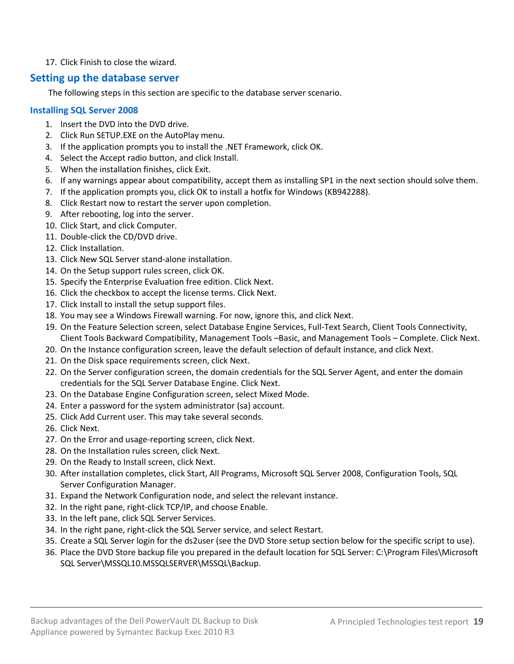### 17. Click Finish to close the wizard.

# **Setting up the database server**

The following steps in this section are specific to the database server scenario.

# **Installing SQL Server 2008**

- 1. Insert the DVD into the DVD drive.
- 2. Click Run SETUP.EXE on the AutoPlay menu.
- 3. If the application prompts you to install the .NET Framework, click OK.
- 4. Select the Accept radio button, and click Install.
- 5. When the installation finishes, click Exit.
- 6. If any warnings appear about compatibility, accept them as installing SP1 in the next section should solve them.
- 7. If the application prompts you, click OK to install a hotfix for Windows (KB942288).
- 8. Click Restart now to restart the server upon completion.
- 9. After rebooting, log into the server.
- 10. Click Start, and click Computer.
- 11. Double-click the CD/DVD drive.
- 12. Click Installation.
- 13. Click New SQL Server stand-alone installation.
- 14. On the Setup support rules screen, click OK.
- 15. Specify the Enterprise Evaluation free edition. Click Next.
- 16. Click the checkbox to accept the license terms. Click Next.
- 17. Click Install to install the setup support files.
- 18. You may see a Windows Firewall warning. For now, ignore this, and click Next.
- 19. On the Feature Selection screen, select Database Engine Services, Full-Text Search, Client Tools Connectivity, Client Tools Backward Compatibility, Management Tools –Basic, and Management Tools – Complete. Click Next.
- 20. On the Instance configuration screen, leave the default selection of default instance, and click Next.
- 21. On the Disk space requirements screen, click Next.
- 22. On the Server configuration screen, the domain credentials for the SQL Server Agent, and enter the domain credentials for the SQL Server Database Engine. Click Next.
- 23. On the Database Engine Configuration screen, select Mixed Mode.
- 24. Enter a password for the system administrator (sa) account.
- 25. Click Add Current user. This may take several seconds.
- 26. Click Next.
- 27. On the Error and usage-reporting screen, click Next.
- 28. On the Installation rules screen, click Next.
- 29. On the Ready to Install screen, click Next.
- 30. After installation completes, click Start, All Programs, Microsoft SQL Server 2008, Configuration Tools, SQL Server Configuration Manager.
- 31. Expand the Network Configuration node, and select the relevant instance.
- 32. In the right pane, right-click TCP/IP, and choose Enable.
- 33. In the left pane, click SQL Server Services.
- 34. In the right pane, right-click the SQL Server service, and select Restart.
- 35. Create a SQL Server login for the ds2user (see the DVD Store setup section below for the specific script to use).
- 36. Place the DVD Store backup file you prepared in the default location for SQL Server: C:\Program Files\Microsoft SQL Server\MSSQL10.MSSQLSERVER\MSSQL\Backup.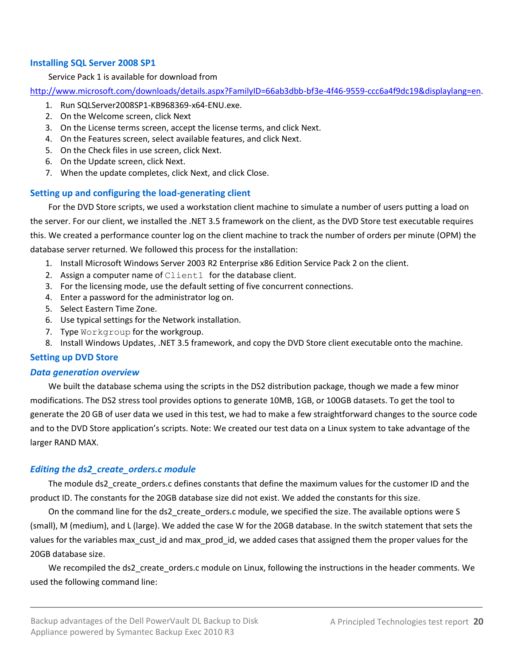### **Installing SQL Server 2008 SP1**

#### Service Pack 1 is available for download from

[http://www.microsoft.com/downloads/details.aspx?FamilyID=66ab3dbb-bf3e-4f46-9559-ccc6a4f9dc19&displaylang=en.](http://www.microsoft.com/downloads/details.aspx?FamilyID=66ab3dbb-bf3e-4f46-9559-ccc6a4f9dc19&displaylang=en)

- 1. Run SQLServer2008SP1-KB968369-x64-ENU.exe.
- 2. On the Welcome screen, click Next
- 3. On the License terms screen, accept the license terms, and click Next.
- 4. On the Features screen, select available features, and click Next.
- 5. On the Check files in use screen, click Next.
- 6. On the Update screen, click Next.
- 7. When the update completes, click Next, and click Close.

### **Setting up and configuring the load-generating client**

For the DVD Store scripts, we used a workstation client machine to simulate a number of users putting a load on the server. For our client, we installed the .NET 3.5 framework on the client, as the DVD Store test executable requires this. We created a performance counter log on the client machine to track the number of orders per minute (OPM) the database server returned. We followed this process for the installation:

- 1. Install Microsoft Windows Server 2003 R2 Enterprise x86 Edition Service Pack 2 on the client.
- 2. Assign a computer name of Client1 for the database client.
- 3. For the licensing mode, use the default setting of five concurrent connections.
- 4. Enter a password for the administrator log on.
- 5. Select Eastern Time Zone.
- 6. Use typical settings for the Network installation.
- 7. Type Workgroup for the workgroup.
- 8. Install Windows Updates, .NET 3.5 framework, and copy the DVD Store client executable onto the machine.

### **Setting up DVD Store**

#### *Data generation overview*

We built the database schema using the scripts in the DS2 distribution package, though we made a few minor modifications. The DS2 stress tool provides options to generate 10MB, 1GB, or 100GB datasets. To get the tool to generate the 20 GB of user data we used in this test, we had to make a few straightforward changes to the source code and to the DVD Store application's scripts. Note: We created our test data on a Linux system to take advantage of the larger RAND MAX.

### *Editing the ds2\_create\_orders.c module*

The module ds2\_create\_orders.c defines constants that define the maximum values for the customer ID and the product ID. The constants for the 20GB database size did not exist. We added the constants for this size.

On the command line for the ds2\_create\_orders.c module, we specified the size. The available options were S (small), M (medium), and L (large). We added the case W for the 20GB database. In the switch statement that sets the values for the variables max cust id and max prod id, we added cases that assigned them the proper values for the 20GB database size.

We recompiled the ds2 create orders.c module on Linux, following the instructions in the header comments. We used the following command line: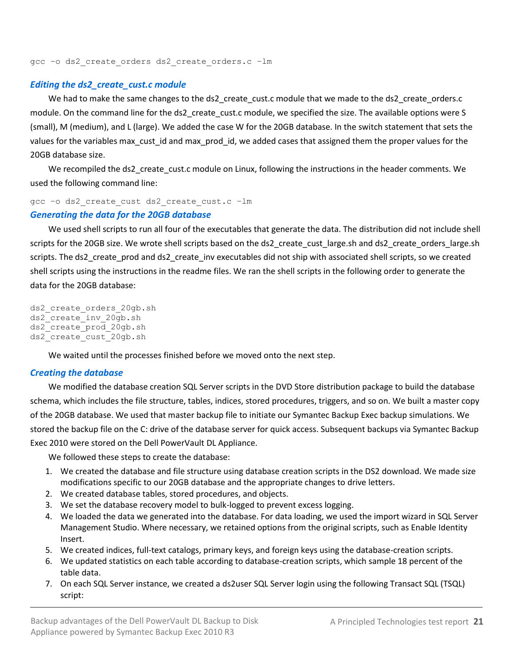gcc –o ds2\_create\_orders ds2\_create\_orders.c –lm

### *Editing the ds2\_create\_cust.c module*

We had to make the same changes to the ds2\_create\_cust.c module that we made to the ds2\_create\_orders.c module. On the command line for the ds2\_create\_cust.c module, we specified the size. The available options were S (small), M (medium), and L (large). We added the case W for the 20GB database. In the switch statement that sets the values for the variables max\_cust\_id and max\_prod\_id, we added cases that assigned them the proper values for the 20GB database size.

We recompiled the ds2\_create\_cust.c module on Linux, following the instructions in the header comments. We used the following command line:

```
gcc –o ds2_create_cust ds2_create_cust.c –lm
```
#### *Generating the data for the 20GB database*

We used shell scripts to run all four of the executables that generate the data. The distribution did not include shell scripts for the 20GB size. We wrote shell scripts based on the ds2\_create\_cust\_large.sh and ds2\_create\_orders\_large.sh scripts. The ds2\_create\_prod and ds2\_create\_inv executables did not ship with associated shell scripts, so we created shell scripts using the instructions in the readme files. We ran the shell scripts in the following order to generate the data for the 20GB database:

```
ds2 create orders 20gb.sh
ds2_create_inv_20gb.sh 
ds2_create_prod_20gb.sh
ds2 create cust 20gb.sh
```
We waited until the processes finished before we moved onto the next step.

#### *Creating the database*

We modified the database creation SQL Server scripts in the DVD Store distribution package to build the database schema, which includes the file structure, tables, indices, stored procedures, triggers, and so on. We built a master copy of the 20GB database. We used that master backup file to initiate our Symantec Backup Exec backup simulations. We stored the backup file on the C: drive of the database server for quick access. Subsequent backups via Symantec Backup Exec 2010 were stored on the Dell PowerVault DL Appliance.

We followed these steps to create the database:

- 1. We created the database and file structure using database creation scripts in the DS2 download. We made size modifications specific to our 20GB database and the appropriate changes to drive letters.
- 2. We created database tables, stored procedures, and objects.
- 3. We set the database recovery model to bulk-logged to prevent excess logging.
- 4. We loaded the data we generated into the database. For data loading, we used the import wizard in SQL Server Management Studio. Where necessary, we retained options from the original scripts, such as Enable Identity Insert.
- 5. We created indices, full-text catalogs, primary keys, and foreign keys using the database-creation scripts.
- 6. We updated statistics on each table according to database-creation scripts, which sample 18 percent of the table data.
- 7. On each SQL Server instance, we created a ds2user SQL Server login using the following Transact SQL (TSQL) script: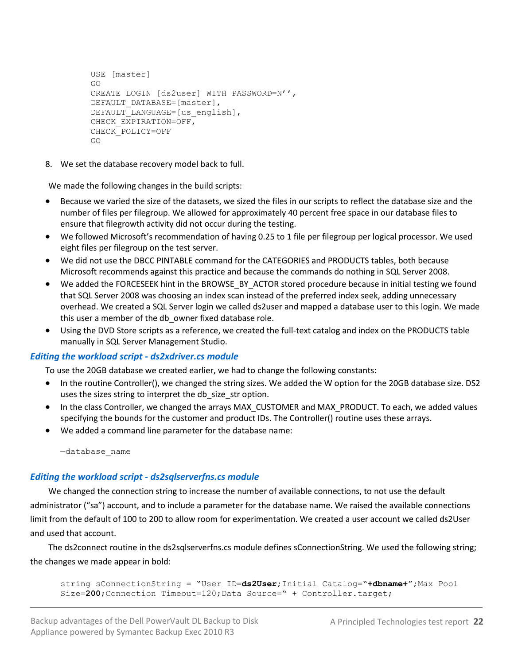```
USE [master]
GO
CREATE LOGIN [ds2user] WITH PASSWORD=N'',
DEFAULT_DATABASE=[master],
DEFAULT_LANGUAGE=[us_english],
CHECK_EXPIRATION=OFF,
CHECK_POLICY=OFF
GO
```
8. We set the database recovery model back to full.

We made the following changes in the build scripts:

- Because we varied the size of the datasets, we sized the files in our scripts to reflect the database size and the number of files per filegroup. We allowed for approximately 40 percent free space in our database files to ensure that filegrowth activity did not occur during the testing.
- We followed Microsoft's recommendation of having 0.25 to 1 file per filegroup per logical processor. We used eight files per filegroup on the test server.
- We did not use the DBCC PINTABLE command for the CATEGORIES and PRODUCTS tables, both because Microsoft recommends against this practice and because the commands do nothing in SQL Server 2008.
- We added the FORCESEEK hint in the BROWSE\_BY\_ACTOR stored procedure because in initial testing we found that SQL Server 2008 was choosing an index scan instead of the preferred index seek, adding unnecessary overhead. We created a SQL Server login we called ds2user and mapped a database user to this login. We made this user a member of the db owner fixed database role.
- Using the DVD Store scripts as a reference, we created the full-text catalog and index on the PRODUCTS table manually in SQL Server Management Studio.

# *Editing the workload script - ds2xdriver.cs module*

To use the 20GB database we created earlier, we had to change the following constants:

- In the routine Controller(), we changed the string sizes. We added the W option for the 20GB database size. DS2 uses the sizes string to interpret the db\_size\_str option.
- In the class Controller, we changed the arrays MAX\_CUSTOMER and MAX\_PRODUCT. To each, we added values specifying the bounds for the customer and product IDs. The Controller() routine uses these arrays.
- We added a command line parameter for the database name:

—database\_name

# *Editing the workload script - ds2sqlserverfns.cs module*

We changed the connection string to increase the number of available connections, to not use the default administrator ("sa") account, and to include a parameter for the database name. We raised the available connections limit from the default of 100 to 200 to allow room for experimentation. We created a user account we called ds2User and used that account.

The ds2connect routine in the ds2sqlserverfns.cs module defines sConnectionString. We used the following string; the changes we made appear in bold:

```
string sConnectionString = "User ID=ds2User; Initial Catalog="+dbname+";Max Pool
Size=200; Connection Timeout=120; Data Source=" + Controller.target;
```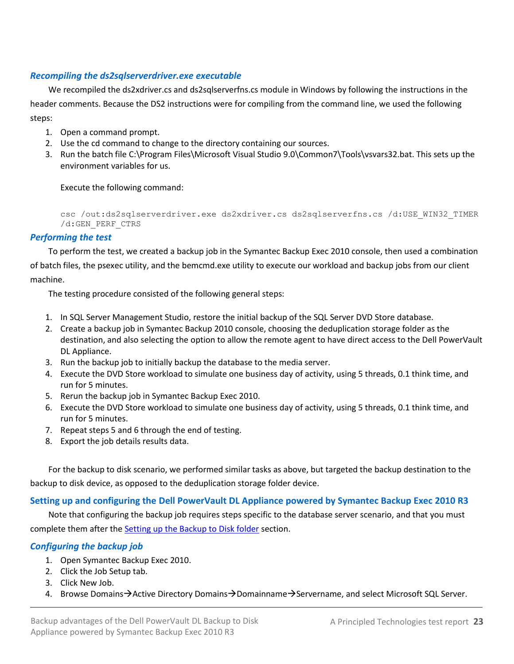### *Recompiling the ds2sqlserverdriver.exe executable*

We recompiled the ds2xdriver.cs and ds2sqlserverfns.cs module in Windows by following the instructions in the header comments. Because the DS2 instructions were for compiling from the command line, we used the following steps:

- 1. Open a command prompt.
- 2. Use the cd command to change to the directory containing our sources.
- 3. Run the batch file C:\Program Files\Microsoft Visual Studio 9.0\Common7\Tools\vsvars32.bat. This sets up the environment variables for us.

Execute the following command:

csc /out:ds2sqlserverdriver.exe ds2xdriver.cs ds2sqlserverfns.cs /d:USE\_WIN32\_TIMER /d:GEN\_PERF\_CTRS

### *Performing the test*

To perform the test, we created a backup job in the Symantec Backup Exec 2010 console, then used a combination of batch files, the psexec utility, and the bemcmd.exe utility to execute our workload and backup jobs from our client machine.

The testing procedure consisted of the following general steps:

- 1. In SQL Server Management Studio, restore the initial backup of the SQL Server DVD Store database.
- 2. Create a backup job in Symantec Backup 2010 console, choosing the deduplication storage folder as the destination, and also selecting the option to allow the remote agent to have direct access to the Dell PowerVault DL Appliance.
- 3. Run the backup job to initially backup the database to the media server.
- 4. Execute the DVD Store workload to simulate one business day of activity, using 5 threads, 0.1 think time, and run for 5 minutes.
- 5. Rerun the backup job in Symantec Backup Exec 2010.
- 6. Execute the DVD Store workload to simulate one business day of activity, using 5 threads, 0.1 think time, and run for 5 minutes.
- 7. Repeat steps 5 and 6 through the end of testing.
- 8. Export the job details results data.

For the backup to disk scenario, we performed similar tasks as above, but targeted the backup destination to the backup to disk device, as opposed to the deduplication storage folder device.

### **Setting up and configuring the Dell PowerVault DL Appliance powered by Symantec Backup Exec 2010 R3**

Note that configuring the backup job requires steps specific to the database server scenario, and that you must complete them after the **Setting up the Backup to Disk folder** section.

# *Configuring the backup job*

- 1. Open Symantec Backup Exec 2010.
- 2. Click the Job Setup tab.
- 3. Click New Job.
- 4. Browse Domains $\rightarrow$ Active Directory Domains $\rightarrow$ Domainname $\rightarrow$ Servername, and select Microsoft SQL Server.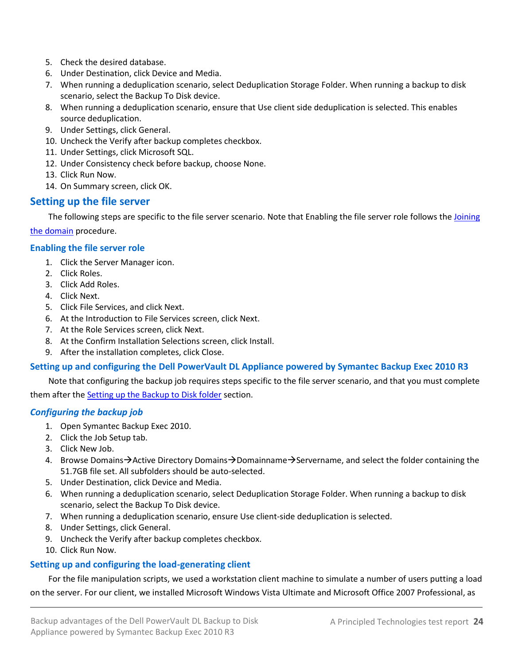- 5. Check the desired database.
- 6. Under Destination, click Device and Media.
- 7. When running a deduplication scenario, select Deduplication Storage Folder. When running a backup to disk scenario, select the Backup To Disk device.
- 8. When running a deduplication scenario, ensure that Use client side deduplication is selected. This enables source deduplication.
- 9. Under Settings, click General.
- 10. Uncheck the Verify after backup completes checkbox.
- 11. Under Settings, click Microsoft SQL.
- 12. Under Consistency check before backup, choose None.
- 13. Click Run Now.
- 14. On Summary screen, click OK.

# **Setting up the file server**

The following steps are specific to the file server scenario. Note that Enabling the file server role follows the Joining [the domain](#page-15-0) procedure.

### **Enabling the file server role**

- 1. Click the Server Manager icon.
- 2. Click Roles.
- 3. Click Add Roles.
- 4. Click Next.
- 5. Click File Services, and click Next.
- 6. At the Introduction to File Services screen, click Next.
- 7. At the Role Services screen, click Next.
- 8. At the Confirm Installation Selections screen, click Install.
- 9. After the installation completes, click Close.

# **Setting up and configuring the Dell PowerVault DL Appliance powered by Symantec Backup Exec 2010 R3**

Note that configuring the backup job requires steps specific to the file server scenario, and that you must complete them after th[e Setting up the Backup to Disk folder](#page-17-0) section.

### *Configuring the backup job*

- 1. Open Symantec Backup Exec 2010.
- 2. Click the Job Setup tab.
- 3. Click New Job.
- 4. Browse Domains $\rightarrow$ Active Directory Domains $\rightarrow$ Domainname $\rightarrow$ Servername, and select the folder containing the 51.7GB file set. All subfolders should be auto-selected.
- 5. Under Destination, click Device and Media.
- 6. When running a deduplication scenario, select Deduplication Storage Folder. When running a backup to disk scenario, select the Backup To Disk device.
- 7. When running a deduplication scenario, ensure Use client-side deduplication is selected.
- 8. Under Settings, click General.
- 9. Uncheck the Verify after backup completes checkbox.
- 10. Click Run Now.

# **Setting up and configuring the load-generating client**

For the file manipulation scripts, we used a workstation client machine to simulate a number of users putting a load on the server. For our client, we installed Microsoft Windows Vista Ultimate and Microsoft Office 2007 Professional, as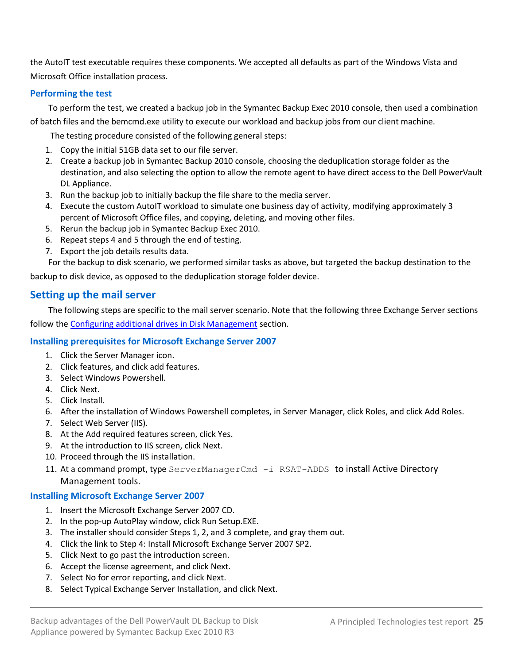the AutoIT test executable requires these components. We accepted all defaults as part of the Windows Vista and Microsoft Office installation process.

### **Performing the test**

To perform the test, we created a backup job in the Symantec Backup Exec 2010 console, then used a combination

of batch files and the bemcmd.exe utility to execute our workload and backup jobs from our client machine.

The testing procedure consisted of the following general steps:

- 1. Copy the initial 51GB data set to our file server.
- 2. Create a backup job in Symantec Backup 2010 console, choosing the deduplication storage folder as the destination, and also selecting the option to allow the remote agent to have direct access to the Dell PowerVault DL Appliance.
- 3. Run the backup job to initially backup the file share to the media server.
- 4. Execute the custom AutoIT workload to simulate one business day of activity, modifying approximately 3 percent of Microsoft Office files, and copying, deleting, and moving other files.
- 5. Rerun the backup job in Symantec Backup Exec 2010.
- 6. Repeat steps 4 and 5 through the end of testing.
- 7. Export the job details results data.

For the backup to disk scenario, we performed similar tasks as above, but targeted the backup destination to the

backup to disk device, as opposed to the deduplication storage folder device.

# **Setting up the mail server**

The following steps are specific to the mail server scenario. Note that the following three Exchange Server sections follow the [Configuring additional drives in Disk Management](#page-16-0) section.

### **Installing prerequisites for Microsoft Exchange Server 2007**

- 1. Click the Server Manager icon.
- 2. Click features, and click add features.
- 3. Select Windows Powershell.
- 4. Click Next.
- 5. Click Install.
- 6. After the installation of Windows Powershell completes, in Server Manager, click Roles, and click Add Roles.
- 7. Select Web Server (IIS).
- 8. At the Add required features screen, click Yes.
- 9. At the introduction to IIS screen, click Next.
- 10. Proceed through the IIS installation.
- 11. At a command prompt, type ServerManagerCmd -i RSAT-ADDS to install Active Directory Management tools.

### **Installing Microsoft Exchange Server 2007**

- 1. Insert the Microsoft Exchange Server 2007 CD.
- 2. In the pop-up AutoPlay window, click Run Setup.EXE.
- 3. The installer should consider Steps 1, 2, and 3 complete, and gray them out.
- 4. Click the link to Step 4: Install Microsoft Exchange Server 2007 SP2.
- 5. Click Next to go past the introduction screen.
- 6. Accept the license agreement, and click Next.
- 7. Select No for error reporting, and click Next.
- 8. Select Typical Exchange Server Installation, and click Next.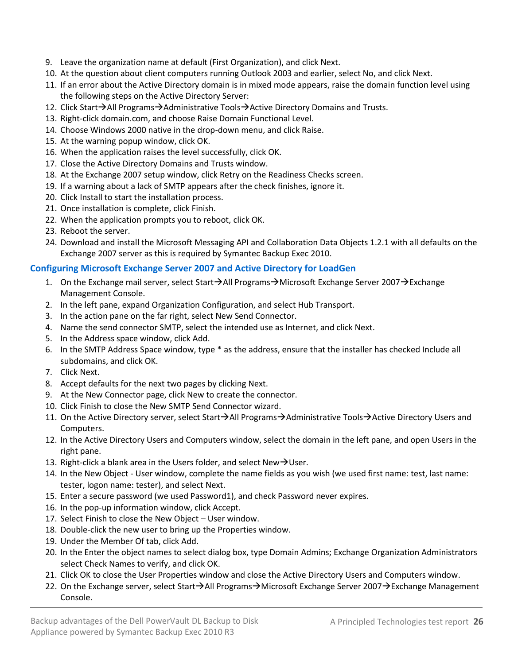- 9. Leave the organization name at default (First Organization), and click Next.
- 10. At the question about client computers running Outlook 2003 and earlier, select No, and click Next.
- 11. If an error about the Active Directory domain is in mixed mode appears, raise the domain function level using the following steps on the Active Directory Server:
- 12. Click Start $\rightarrow$ All Programs $\rightarrow$ Administrative Tools $\rightarrow$ Active Directory Domains and Trusts.
- 13. Right-click domain.com, and choose Raise Domain Functional Level.
- 14. Choose Windows 2000 native in the drop-down menu, and click Raise.
- 15. At the warning popup window, click OK.
- 16. When the application raises the level successfully, click OK.
- 17. Close the Active Directory Domains and Trusts window.
- 18. At the Exchange 2007 setup window, click Retry on the Readiness Checks screen.
- 19. If a warning about a lack of SMTP appears after the check finishes, ignore it.
- 20. Click Install to start the installation process.
- 21. Once installation is complete, click Finish.
- 22. When the application prompts you to reboot, click OK.
- 23. Reboot the server.
- 24. Download and install the Microsoft Messaging API and Collaboration Data Objects 1.2.1 with all defaults on the Exchange 2007 server as this is required by Symantec Backup Exec 2010.

# **Configuring Microsoft Exchange Server 2007 and Active Directory for LoadGen**

- 1. On the Exchange mail server, select Start $\rightarrow$ All Programs $\rightarrow$ Microsoft Exchange Server 2007 $\rightarrow$  Exchange Management Console.
- 2. In the left pane, expand Organization Configuration, and select Hub Transport.
- 3. In the action pane on the far right, select New Send Connector.
- 4. Name the send connector SMTP, select the intended use as Internet, and click Next.
- 5. In the Address space window, click Add.
- 6. In the SMTP Address Space window, type \* as the address, ensure that the installer has checked Include all subdomains, and click OK.
- 7. Click Next.
- 8. Accept defaults for the next two pages by clicking Next.
- 9. At the New Connector page, click New to create the connector.
- 10. Click Finish to close the New SMTP Send Connector wizard.
- 11. On the Active Directory server, select Start→All Programs→Administrative Tools→Active Directory Users and Computers.
- 12. In the Active Directory Users and Computers window, select the domain in the left pane, and open Users in the right pane.
- 13. Right-click a blank area in the Users folder, and select New  $\rightarrow$  User.
- 14. In the New Object User window, complete the name fields as you wish (we used first name: test, last name: tester, logon name: tester), and select Next.
- 15. Enter a secure password (we used Password1), and check Password never expires.
- 16. In the pop-up information window, click Accept.
- 17. Select Finish to close the New Object User window.
- 18. Double-click the new user to bring up the Properties window.
- 19. Under the Member Of tab, click Add.
- 20. In the Enter the object names to select dialog box, type Domain Admins; Exchange Organization Administrators select Check Names to verify, and click OK.
- 21. Click OK to close the User Properties window and close the Active Directory Users and Computers window.
- 22. On the Exchange server, select Start $\rightarrow$ All Programs $\rightarrow$ Microsoft Exchange Server 2007 $\rightarrow$ Exchange Management Console.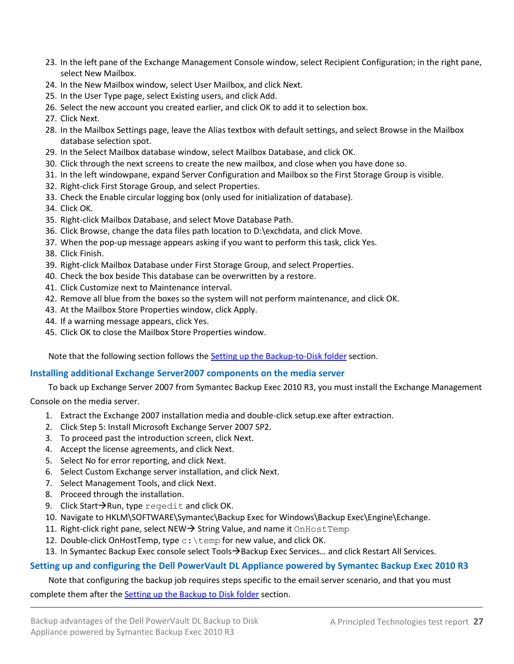- 23. In the left pane of the Exchange Management Console window, select Recipient Configuration; in the right pane, select New Mailbox.
- 24. In the New Mailbox window, select User Mailbox, and click Next.
- 25. In the User Type page, select Existing users, and click Add.
- 26. Select the new account you created earlier, and click OK to add it to selection box.
- 27. Click Next.
- 28. In the Mailbox Settings page, leave the Alias textbox with default settings, and select Browse in the Mailbox database selection spot.
- 29. In the Select Mailbox database window, select Mailbox Database, and click OK.
- 30. Click through the next screens to create the new mailbox, and close when you have done so.
- 31. In the left windowpane, expand Server Configuration and Mailbox so the First Storage Group is visible.
- 32. Right-click First Storage Group, and select Properties.
- 33. Check the Enable circular logging box (only used for initialization of database).
- 34. Click OK.
- 35. Right-click Mailbox Database, and select Move Database Path.
- 36. Click Browse, change the data files path location to D:\exchdata, and click Move.
- 37. When the pop-up message appears asking if you want to perform this task, click Yes.
- 38. Click Finish.
- 39. Right-click Mailbox Database under First Storage Group, and select Properties.
- 40. Check the box beside This database can be overwritten by a restore.
- 41. Click Customize next to Maintenance interval.
- 42. Remove all blue from the boxes so the system will not perform maintenance, and click OK.
- 43. At the Mailbox Store Properties window, click Apply.
- 44. If a warning message appears, click Yes.
- 45. Click OK to close the Mailbox Store Properties window.

Note that the following section follows the [Setting up the Backup-to-Disk folder](#page-17-0) section.

### **Installing additional Exchange Server2007 components on the media server**

To back up Exchange Server 2007 from Symantec Backup Exec 2010 R3, you must install the Exchange Management

Console on the media server.

- 1. Extract the Exchange 2007 installation media and double-click setup.exe after extraction.
- 2. Click Step 5: Install Microsoft Exchange Server 2007 SP2.
- 3. To proceed past the introduction screen, click Next.
- 4. Accept the license agreements, and click Next.
- 5. Select No for error reporting, and click Next.
- 6. Select Custom Exchange server installation, and click Next.
- 7. Select Management Tools, and click Next.
- 8. Proceed through the installation.
- 9. Click Start $\rightarrow$ Run, type regedit and click OK.
- 10. Navigate to HKLM\SOFTWARE\Symantec\Backup Exec for Windows\Backup Exec\Engine\Echange.
- 11. Right-click right pane, select NEW  $\rightarrow$  String Value, and name it OnHostTemp
- 12. Double-click OnHostTemp, type  $c:\text{temp}$  for new value, and click OK.
- 13. In Symantec Backup Exec console select Tools > Backup Exec Services... and click Restart All Services.

### **Setting up and configuring the Dell PowerVault DL Appliance powered by Symantec Backup Exec 2010 R3**

#### Note that configuring the backup job requires steps specific to the email server scenario, and that you must

complete them after the [Setting up the Backup to Disk folder](#page-17-0) section.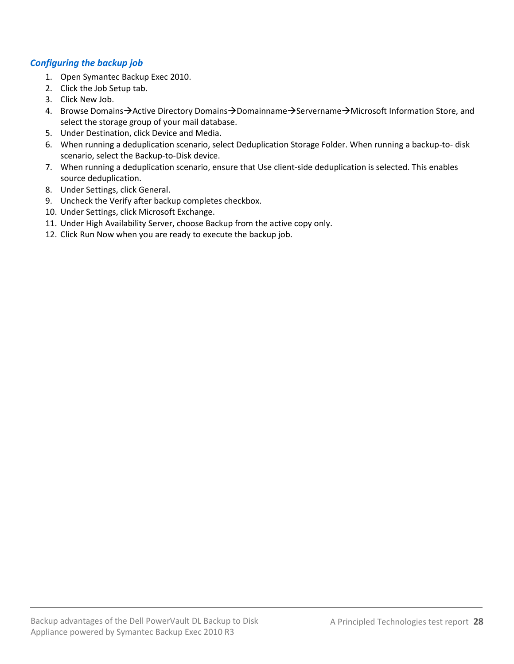# *Configuring the backup job*

- 1. Open Symantec Backup Exec 2010.
- 2. Click the Job Setup tab.
- 3. Click New Job.
- 4. Browse Domains->Active Directory Domains->Domainname->Servername->Microsoft Information Store, and select the storage group of your mail database.
- 5. Under Destination, click Device and Media.
- 6. When running a deduplication scenario, select Deduplication Storage Folder. When running a backup-to- disk scenario, select the Backup-to-Disk device.
- 7. When running a deduplication scenario, ensure that Use client-side deduplication is selected. This enables source deduplication.
- 8. Under Settings, click General.
- 9. Uncheck the Verify after backup completes checkbox.
- 10. Under Settings, click Microsoft Exchange.
- 11. Under High Availability Server, choose Backup from the active copy only.
- 12. Click Run Now when you are ready to execute the backup job.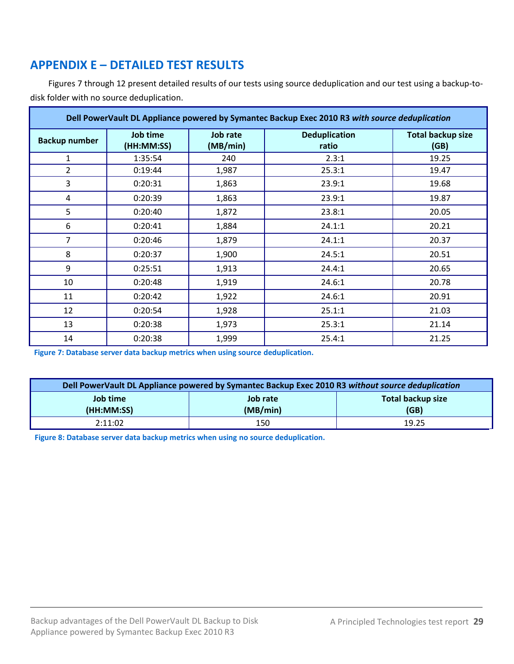# <span id="page-28-0"></span>**APPENDIX E – DETAILED TEST RESULTS**

Figures 7 through 12 present detailed results of our tests using source deduplication and our test using a backup-todisk folder with no source deduplication.

| Dell PowerVault DL Appliance powered by Symantec Backup Exec 2010 R3 with source deduplication |                        |                      |                               |                                  |
|------------------------------------------------------------------------------------------------|------------------------|----------------------|-------------------------------|----------------------------------|
| <b>Backup number</b>                                                                           | Job time<br>(HH:MM:SS) | Job rate<br>(MB/min) | <b>Deduplication</b><br>ratio | <b>Total backup size</b><br>(GB) |
| 1                                                                                              | 1:35:54                | 240                  | 2.3:1                         | 19.25                            |
| $\overline{2}$                                                                                 | 0:19:44                | 1,987                | 25.3:1                        | 19.47                            |
| 3                                                                                              | 0:20:31                | 1,863                | 23.9:1                        | 19.68                            |
| 4                                                                                              | 0:20:39                | 1,863                | 23.9:1                        | 19.87                            |
| 5                                                                                              | 0:20:40                | 1,872                | 23.8:1                        | 20.05                            |
| 6                                                                                              | 0:20:41                | 1,884                | 24.1:1                        | 20.21                            |
| $\overline{7}$                                                                                 | 0:20:46                | 1,879                | 24.1:1                        | 20.37                            |
| 8                                                                                              | 0:20:37                | 1,900                | 24.5:1                        | 20.51                            |
| 9                                                                                              | 0:25:51                | 1,913                | 24.4:1                        | 20.65                            |
| 10                                                                                             | 0:20:48                | 1,919                | 24.6:1                        | 20.78                            |
| 11                                                                                             | 0:20:42                | 1,922                | 24.6:1                        | 20.91                            |
| 12                                                                                             | 0:20:54                | 1,928                | 25.1:1                        | 21.03                            |
| 13                                                                                             | 0:20:38                | 1,973                | 25.3:1                        | 21.14                            |
| 14                                                                                             | 0:20:38                | 1,999                | 25.4:1                        | 21.25                            |

**Figure 7: Database server data backup metrics when using source deduplication.**

| Dell PowerVault DL Appliance powered by Symantec Backup Exec 2010 R3 without source deduplication |                      |                                  |  |
|---------------------------------------------------------------------------------------------------|----------------------|----------------------------------|--|
| Job time<br>(HH:MM:SS)                                                                            | Job rate<br>(MB/min) | <b>Total backup size</b><br>(GB) |  |
| 2:11:02                                                                                           | 150                  | 19.25                            |  |

**Figure 8: Database server data backup metrics when using no source deduplication.**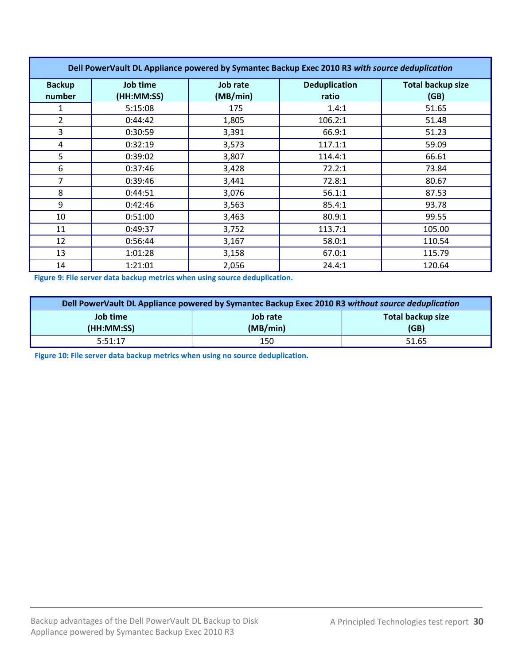| Dell PowerVault DL Appliance powered by Symantec Backup Exec 2010 R3 with source deduplication |                        |                             |                               |                                  |
|------------------------------------------------------------------------------------------------|------------------------|-----------------------------|-------------------------------|----------------------------------|
| <b>Backup</b><br>number                                                                        | Job time<br>(HH:MM:SS) | <b>Job rate</b><br>(MB/min) | <b>Deduplication</b><br>ratio | <b>Total backup size</b><br>(GB) |
| 1                                                                                              | 5:15:08                | 175                         | 1.4:1                         | 51.65                            |
| $\overline{2}$                                                                                 | 0:44:42                | 1,805                       | 106.2:1                       | 51.48                            |
| 3                                                                                              | 0:30:59                | 3,391                       | 66.9:1                        | 51.23                            |
| 4                                                                                              | 0:32:19                | 3,573                       | 117.1:1                       | 59.09                            |
| 5                                                                                              | 0:39:02                | 3,807                       | 114.4:1                       | 66.61                            |
| 6                                                                                              | 0:37:46                | 3,428                       | 72.2:1                        | 73.84                            |
| 7                                                                                              | 0:39:46                | 3,441                       | 72.8:1                        | 80.67                            |
| 8                                                                                              | 0:44:51                | 3,076                       | 56.1:1                        | 87.53                            |
| 9                                                                                              | 0:42:46                | 3,563                       | 85.4:1                        | 93.78                            |
| 10                                                                                             | 0:51:00                | 3,463                       | 80.9:1                        | 99.55                            |
| 11                                                                                             | 0:49:37                | 3,752                       | 113.7:1                       | 105.00                           |
| 12                                                                                             | 0:56:44                | 3,167                       | 58.0:1                        | 110.54                           |
| 13                                                                                             | 1:01:28                | 3,158                       | 67.0:1                        | 115.79                           |
| 14                                                                                             | 1:21:01                | 2,056                       | 24.4:1                        | 120.64                           |

**Figure 9: File server data backup metrics when using source deduplication.**

| Dell PowerVault DL Appliance powered by Symantec Backup Exec 2010 R3 without source deduplication |          |                          |  |
|---------------------------------------------------------------------------------------------------|----------|--------------------------|--|
| Job time                                                                                          | Job rate | <b>Total backup size</b> |  |
| (HH:MM:SS)                                                                                        | (MB/min) | (GB)                     |  |
| 5:51:17                                                                                           | 150      | 51.65                    |  |

**Figure 10: File server data backup metrics when using no source deduplication.**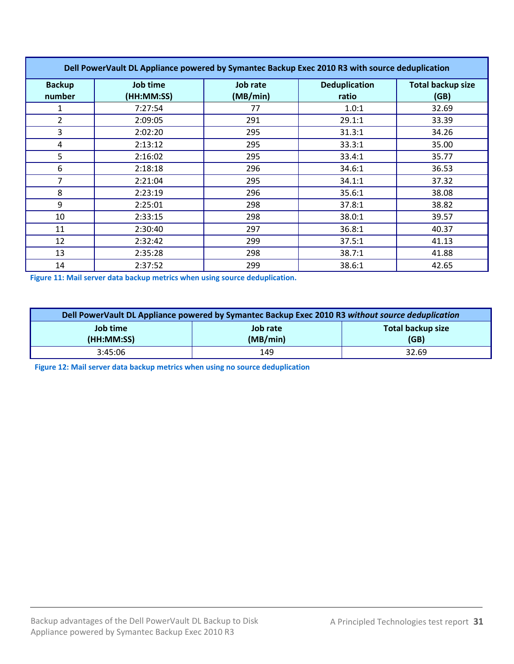| Dell PowerVault DL Appliance powered by Symantec Backup Exec 2010 R3 with source deduplication |                        |                      |                               |                                  |
|------------------------------------------------------------------------------------------------|------------------------|----------------------|-------------------------------|----------------------------------|
| <b>Backup</b><br>number                                                                        | Job time<br>(HH:MM:SS) | Job rate<br>(MB/min) | <b>Deduplication</b><br>ratio | <b>Total backup size</b><br>(GB) |
|                                                                                                | 7:27:54                | 77                   | 1.0:1                         | 32.69                            |
| 2                                                                                              | 2:09:05                | 291                  | 29.1:1                        | 33.39                            |
| 3                                                                                              | 2:02:20                | 295                  | 31.3:1                        | 34.26                            |
| 4                                                                                              | 2:13:12                | 295                  | 33.3:1                        | 35.00                            |
| 5                                                                                              | 2:16:02                | 295                  | 33.4:1                        | 35.77                            |
| 6                                                                                              | 2:18:18                | 296                  | 34.6:1                        | 36.53                            |
| 7                                                                                              | 2:21:04                | 295                  | 34.1:1                        | 37.32                            |
| 8                                                                                              | 2:23:19                | 296                  | 35.6:1                        | 38.08                            |
| 9                                                                                              | 2:25:01                | 298                  | 37.8:1                        | 38.82                            |
| 10                                                                                             | 2:33:15                | 298                  | 38.0:1                        | 39.57                            |
| 11                                                                                             | 2:30:40                | 297                  | 36.8:1                        | 40.37                            |
| 12                                                                                             | 2:32:42                | 299                  | 37.5:1                        | 41.13                            |
| 13                                                                                             | 2:35:28                | 298                  | 38.7:1                        | 41.88                            |
| 14                                                                                             | 2:37:52                | 299                  | 38.6:1                        | 42.65                            |

**Figure 11: Mail server data backup metrics when using source deduplication.**

| Dell PowerVault DL Appliance powered by Symantec Backup Exec 2010 R3 without source deduplication |          |                   |  |
|---------------------------------------------------------------------------------------------------|----------|-------------------|--|
| Job time                                                                                          | Job rate | Total backup size |  |
| (HH:MM:SS)                                                                                        | (MB/min) | (GB)              |  |
| 3:45:06                                                                                           | 149      | 32.69             |  |

**Figure 12: Mail server data backup metrics when using no source deduplication**